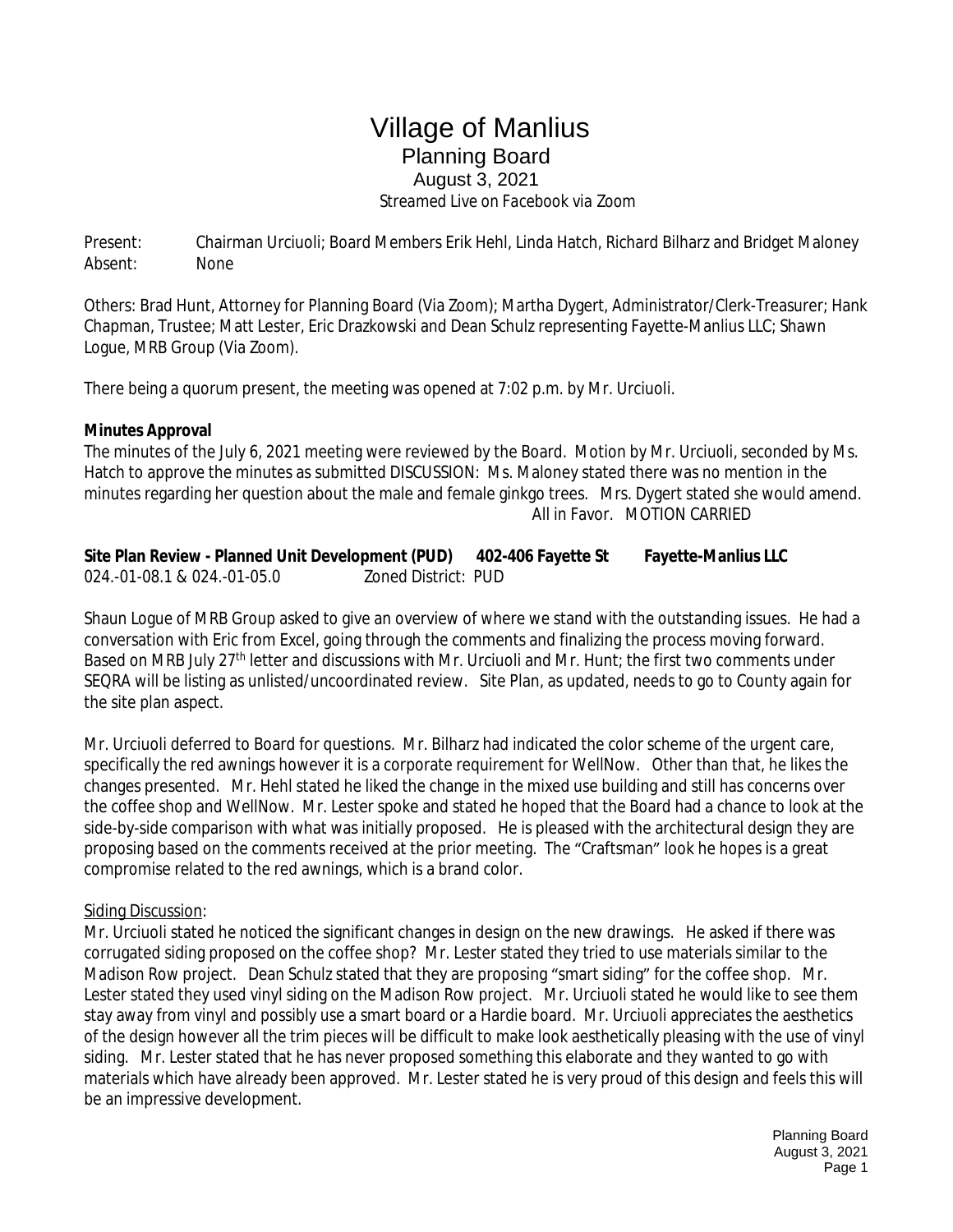## Village of Manlius Planning Board August 3, 2021  *Streamed Live on Facebook via Zoom*

Present: Chairman Urciuoli; Board Members Erik Hehl, Linda Hatch, Richard Bilharz and Bridget Maloney Absent: None

Others: Brad Hunt, Attorney for Planning Board (Via Zoom); Martha Dygert, Administrator/Clerk-Treasurer; Hank Chapman, Trustee; Matt Lester, Eric Drazkowski and Dean Schulz representing Fayette-Manlius LLC; Shawn Logue, MRB Group (Via Zoom).

There being a quorum present, the meeting was opened at 7:02 p.m. by Mr. Urciuoli.

## **Minutes Approval**

The minutes of the July 6, 2021 meeting were reviewed by the Board. Motion by Mr. Urciuoli, seconded by Ms. Hatch to approve the minutes as submitted DISCUSSION: Ms. Maloney stated there was no mention in the minutes regarding her question about the male and female ginkgo trees. Mrs. Dygert stated she would amend. All in Favor. MOTION CARRIED

| Site Plan Review - Planned Unit Development (PUD) |                     | 402-406 Fayette St | <b>Fayette-Manlius LLC</b> |
|---------------------------------------------------|---------------------|--------------------|----------------------------|
| 024.-01-08.1 & 024.-01-05.0                       | Zoned District: PUD |                    |                            |

Shaun Logue of MRB Group asked to give an overview of where we stand with the outstanding issues. He had a conversation with Eric from Excel, going through the comments and finalizing the process moving forward. Based on MRB July 27th letter and discussions with Mr. Urciuoli and Mr. Hunt; the first two comments under SEQRA will be listing as unlisted/uncoordinated review. Site Plan, as updated, needs to go to County again for the site plan aspect.

Mr. Urciuoli deferred to Board for questions. Mr. Bilharz had indicated the color scheme of the urgent care, specifically the red awnings however it is a corporate requirement for WellNow. Other than that, he likes the changes presented. Mr. Hehl stated he liked the change in the mixed use building and still has concerns over the coffee shop and WellNow. Mr. Lester spoke and stated he hoped that the Board had a chance to look at the side-by-side comparison with what was initially proposed. He is pleased with the architectural design they are proposing based on the comments received at the prior meeting. The "Craftsman" look he hopes is a great compromise related to the red awnings, which is a brand color.

## Siding Discussion:

Mr. Urciuoli stated he noticed the significant changes in design on the new drawings. He asked if there was corrugated siding proposed on the coffee shop? Mr. Lester stated they tried to use materials similar to the Madison Row project. Dean Schulz stated that they are proposing "smart siding" for the coffee shop. Mr. Lester stated they used vinyl siding on the Madison Row project. Mr. Urciuoli stated he would like to see them stay away from vinyl and possibly use a smart board or a Hardie board. Mr. Urciuoli appreciates the aesthetics of the design however all the trim pieces will be difficult to make look aesthetically pleasing with the use of vinyl siding. Mr. Lester stated that he has never proposed something this elaborate and they wanted to go with materials which have already been approved. Mr. Lester stated he is very proud of this design and feels this will be an impressive development.

> Planning Board August 3, 2021 Page 1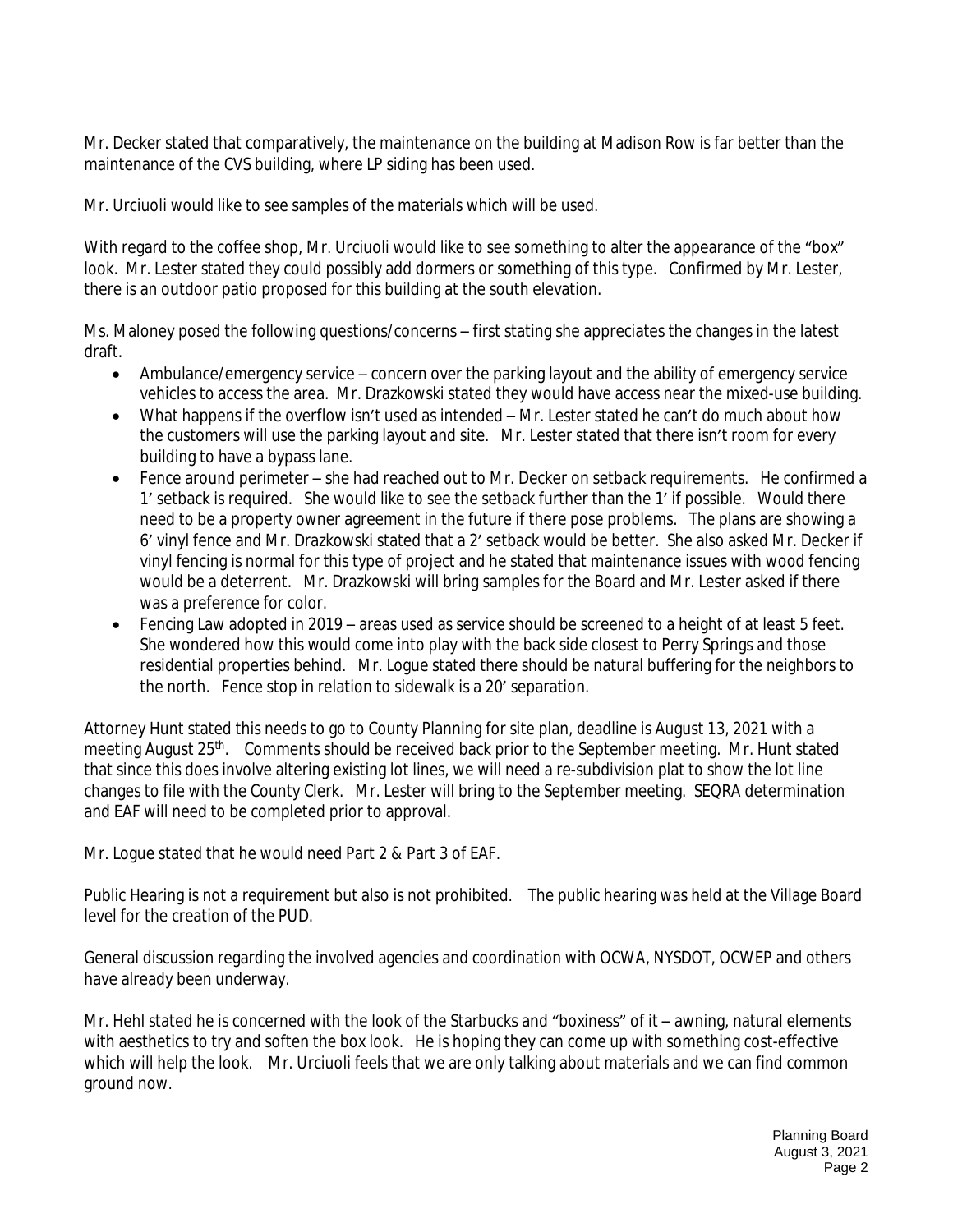Mr. Decker stated that comparatively, the maintenance on the building at Madison Row is far better than the maintenance of the CVS building, where LP siding has been used.

Mr. Urciuoli would like to see samples of the materials which will be used.

With regard to the coffee shop, Mr. Urciuoli would like to see something to alter the appearance of the "box" look. Mr. Lester stated they could possibly add dormers or something of this type. Confirmed by Mr. Lester, there is an outdoor patio proposed for this building at the south elevation.

Ms. Maloney posed the following questions/concerns – first stating she appreciates the changes in the latest draft.

- Ambulance/emergency service concern over the parking layout and the ability of emergency service vehicles to access the area. Mr. Drazkowski stated they would have access near the mixed-use building.
- What happens if the overflow isn't used as intended Mr. Lester stated he can't do much about how the customers will use the parking layout and site. Mr. Lester stated that there isn't room for every building to have a bypass lane.
- Fence around perimeter she had reached out to Mr. Decker on setback requirements. He confirmed a 1' setback is required. She would like to see the setback further than the 1' if possible. Would there need to be a property owner agreement in the future if there pose problems. The plans are showing a 6' vinyl fence and Mr. Drazkowski stated that a 2' setback would be better. She also asked Mr. Decker if vinyl fencing is normal for this type of project and he stated that maintenance issues with wood fencing would be a deterrent. Mr. Drazkowski will bring samples for the Board and Mr. Lester asked if there was a preference for color.
- Fencing Law adopted in 2019 areas used as service should be screened to a height of at least 5 feet. She wondered how this would come into play with the back side closest to Perry Springs and those residential properties behind. Mr. Logue stated there should be natural buffering for the neighbors to the north. Fence stop in relation to sidewalk is a 20' separation.

Attorney Hunt stated this needs to go to County Planning for site plan, deadline is August 13, 2021 with a meeting August 25th. Comments should be received back prior to the September meeting. Mr. Hunt stated that since this does involve altering existing lot lines, we will need a re-subdivision plat to show the lot line changes to file with the County Clerk. Mr. Lester will bring to the September meeting. SEQRA determination and EAF will need to be completed prior to approval.

Mr. Logue stated that he would need Part 2 & Part 3 of EAF.

Public Hearing is not a requirement but also is not prohibited. The public hearing was held at the Village Board level for the creation of the PUD.

General discussion regarding the involved agencies and coordination with OCWA, NYSDOT, OCWEP and others have already been underway.

Mr. Hehl stated he is concerned with the look of the Starbucks and "boxiness" of it – awning, natural elements with aesthetics to try and soften the box look. He is hoping they can come up with something cost-effective which will help the look. Mr. Urciuoli feels that we are only talking about materials and we can find common ground now.